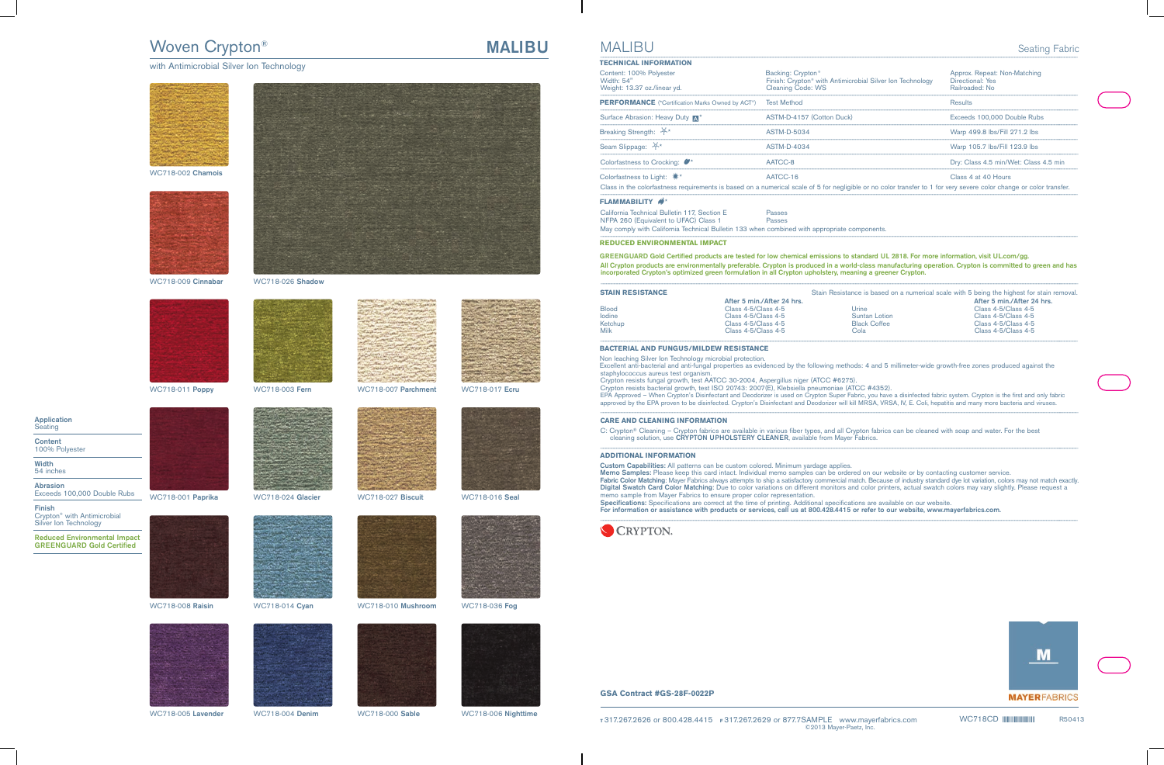# Woven Crypton®

### with Antimicrobial Silver Ion Technology



### WC718-002 **Chamois**







WC718-009 **Cinnabar** WC718-026 **Shadow**



WC718-011 **Poppy** WC718-003 **Fern** WC718-007 **Parchment** WC718-017 **Ecru**











**Content** 100% Polyester

**Width** 54 inches

**Abrasion** Exceeds 100,000 Double Rubs

**Finish** Crypton® with Antimicrobial Silver Ion Technology

**Reduced Environmental Impact GREENGUARD Gold Certified**







WC718-005 **Lavender** WC718-004 **Denim** WC718-000 **Sable** WC718-006 **Nighttime**



WC718-001 **Paprika** WC718-024 **Glacier** WC718-027 **Biscuit** WC718-016 **Seal**











WC718-008 **Raisin** WC718-014 **Cyan** WC718-010 **Mushroom** WC718-036 **Fog**